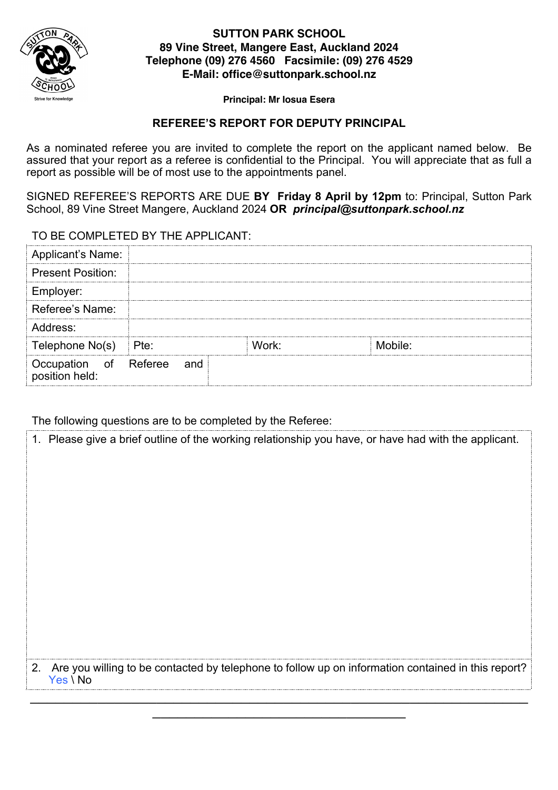

## **SUTTON PARK SCHOOL 89 Vine Street, Mangere East, Auckland 2024 Telephone (09) 276 4560 Facsimile: (09) 276 4529 E-Mail: office@suttonpark.school.nz**

#### **Principal: Mr Iosua Esera**

## **REFEREE'S REPORT FOR DEPUTY PRINCIPAL**

As a nominated referee you are invited to complete the report on the applicant named below. Be assured that your report as a referee is confidential to the Principal. You will appreciate that as full a report as possible will be of most use to the appointments panel.

SIGNED REFEREE'S REPORTS ARE DUE **BY Friday 8 April by 12pm** to: Principal, Sutton Park School, 89 Vine Street Mangere, Auckland 2024 **OR** *principal@suttonpark.school.nz*

TO BE COMPLETED BY THE APPLICANT:

| Applicant's Name:                       |     |       |         |  |
|-----------------------------------------|-----|-------|---------|--|
| <b>Present Position:</b>                |     |       |         |  |
| Employer:                               |     |       |         |  |
| Referee's Name:                         |     |       |         |  |
| Address:                                |     |       |         |  |
| Telephone No(s) Pte:                    |     | Work: | Mobile: |  |
| Occupation of Referee<br>position held: | and |       |         |  |

The following questions are to be completed by the Referee:

| 1. Please give a brief outline of the working relationship you have, or have had with the applicant.              |
|-------------------------------------------------------------------------------------------------------------------|
|                                                                                                                   |
|                                                                                                                   |
|                                                                                                                   |
|                                                                                                                   |
|                                                                                                                   |
|                                                                                                                   |
|                                                                                                                   |
|                                                                                                                   |
|                                                                                                                   |
|                                                                                                                   |
|                                                                                                                   |
| 2. Are you willing to be contacted by telephone to follow up on information contained in this report?<br>Yes \ No |
|                                                                                                                   |
|                                                                                                                   |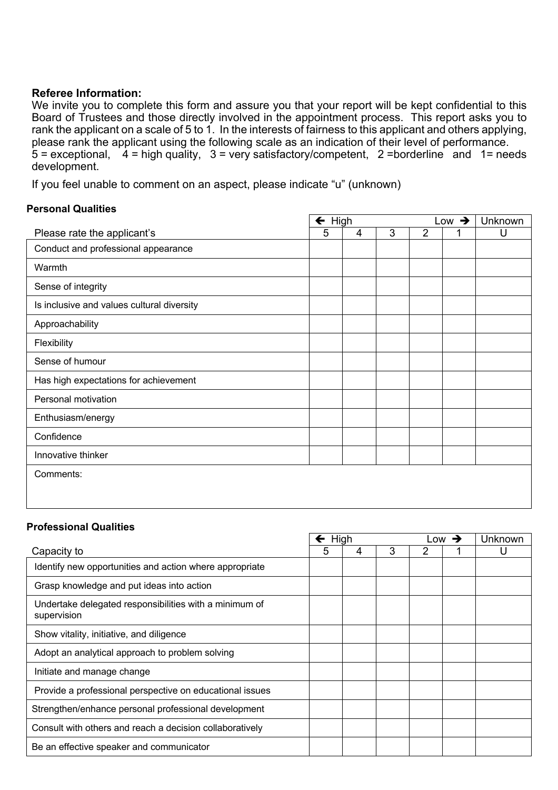## **Referee Information:**

We invite you to complete this form and assure you that your report will be kept confidential to this Board of Trustees and those directly involved in the appointment process. This report asks you to rank the applicant on a scale of 5 to 1. In the interests of fairness to this applicant and others applying, please rank the applicant using the following scale as an indication of their level of performance.  $5$  = exceptional,  $4$  = high quality,  $3$  = very satisfactory/competent, 2 = borderline and 1 = needs development.

If you feel unable to comment on an aspect, please indicate "u" (unknown)

## **Personal Qualities**

|                                            | $\leftarrow$ High<br>Low $\rightarrow$ |   |   |                | Unknown |   |
|--------------------------------------------|----------------------------------------|---|---|----------------|---------|---|
| Please rate the applicant's                | 5                                      | 4 | 3 | $\overline{2}$ |         | U |
| Conduct and professional appearance        |                                        |   |   |                |         |   |
| Warmth                                     |                                        |   |   |                |         |   |
| Sense of integrity                         |                                        |   |   |                |         |   |
| Is inclusive and values cultural diversity |                                        |   |   |                |         |   |
| Approachability                            |                                        |   |   |                |         |   |
| Flexibility                                |                                        |   |   |                |         |   |
| Sense of humour                            |                                        |   |   |                |         |   |
| Has high expectations for achievement      |                                        |   |   |                |         |   |
| Personal motivation                        |                                        |   |   |                |         |   |
| Enthusiasm/energy                          |                                        |   |   |                |         |   |
| Confidence                                 |                                        |   |   |                |         |   |
| Innovative thinker                         |                                        |   |   |                |         |   |
| Comments:                                  |                                        |   |   |                |         |   |
|                                            |                                        |   |   |                |         |   |
|                                            |                                        |   |   |                |         |   |

#### **Professional Qualities**

|                                                                       | High |   |   | Low | $\rightarrow$ | Unknown |
|-----------------------------------------------------------------------|------|---|---|-----|---------------|---------|
| Capacity to                                                           | 5    | 4 | 3 | 2   |               | U       |
| Identify new opportunities and action where appropriate               |      |   |   |     |               |         |
| Grasp knowledge and put ideas into action                             |      |   |   |     |               |         |
| Undertake delegated responsibilities with a minimum of<br>supervision |      |   |   |     |               |         |
| Show vitality, initiative, and diligence                              |      |   |   |     |               |         |
| Adopt an analytical approach to problem solving                       |      |   |   |     |               |         |
| Initiate and manage change                                            |      |   |   |     |               |         |
| Provide a professional perspective on educational issues              |      |   |   |     |               |         |
| Strengthen/enhance personal professional development                  |      |   |   |     |               |         |
| Consult with others and reach a decision collaboratively              |      |   |   |     |               |         |
| Be an effective speaker and communicator                              |      |   |   |     |               |         |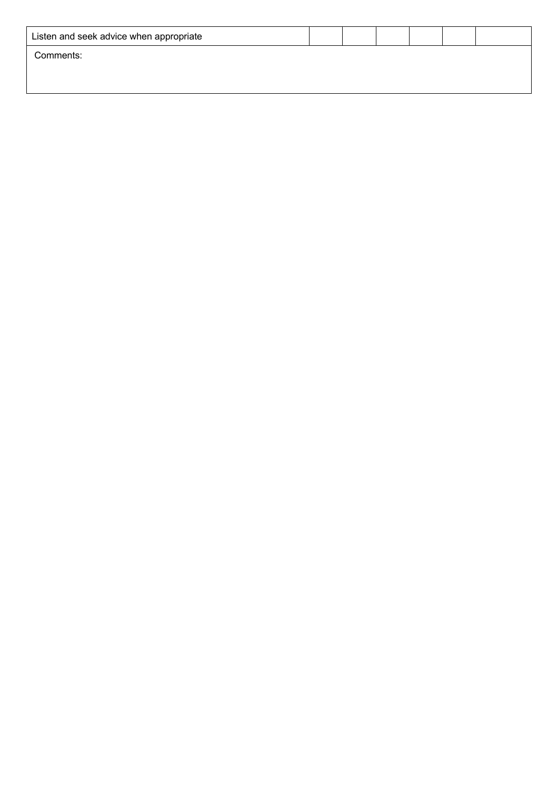| Listen and seek advice when appropriate |  |  |  |
|-----------------------------------------|--|--|--|
| Comments:                               |  |  |  |
|                                         |  |  |  |
|                                         |  |  |  |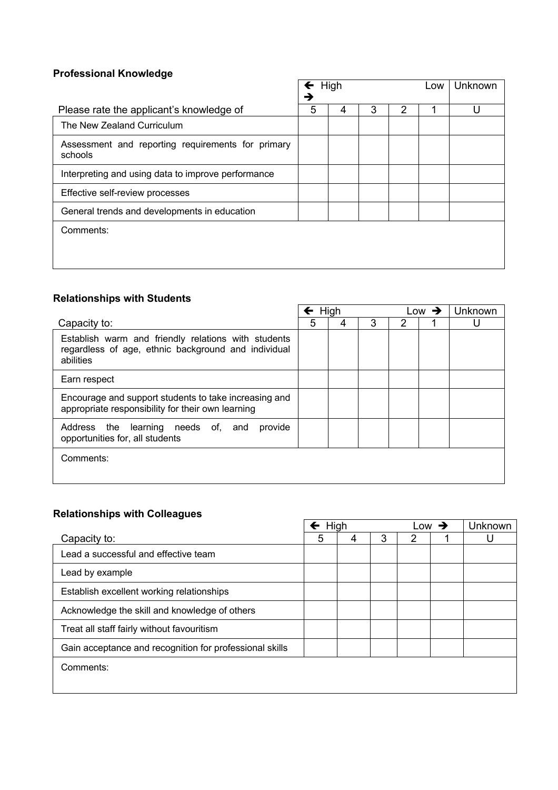# **Professional Knowledge**

|                                                              | $\leftarrow$ High |   | Low | Unknown |  |  |
|--------------------------------------------------------------|-------------------|---|-----|---------|--|--|
|                                                              | →                 |   |     |         |  |  |
| Please rate the applicant's knowledge of                     | 5                 | 4 | 3   | 2       |  |  |
| The New Zealand Curriculum                                   |                   |   |     |         |  |  |
| Assessment and reporting requirements for primary<br>schools |                   |   |     |         |  |  |
| Interpreting and using data to improve performance           |                   |   |     |         |  |  |
| Effective self-review processes                              |                   |   |     |         |  |  |
| General trends and developments in education                 |                   |   |     |         |  |  |
| Comments:                                                    |                   |   |     |         |  |  |
|                                                              |                   |   |     |         |  |  |

## **Relationships with Students**

|                                                                                                                         | $\leftarrow$ High |   |   |   | Low $\rightarrow$ | Unknown |
|-------------------------------------------------------------------------------------------------------------------------|-------------------|---|---|---|-------------------|---------|
| Capacity to:                                                                                                            | 5                 | 4 | 3 | 2 |                   |         |
| Establish warm and friendly relations with students<br>regardless of age, ethnic background and individual<br>abilities |                   |   |   |   |                   |         |
| Earn respect                                                                                                            |                   |   |   |   |                   |         |
| Encourage and support students to take increasing and<br>appropriate responsibility for their own learning              |                   |   |   |   |                   |         |
| Address the learning needs of, and<br>provide<br>opportunities for, all students                                        |                   |   |   |   |                   |         |
| Comments:                                                                                                               |                   |   |   |   |                   |         |

 $\overline{a}$ 

# **Relationships with Colleagues**

|                                                         | $\leftarrow$ High |   |   | _OW | Unknown |
|---------------------------------------------------------|-------------------|---|---|-----|---------|
| Capacity to:                                            | 5                 | 4 | 3 | 2   |         |
| Lead a successful and effective team                    |                   |   |   |     |         |
| Lead by example                                         |                   |   |   |     |         |
| Establish excellent working relationships               |                   |   |   |     |         |
| Acknowledge the skill and knowledge of others           |                   |   |   |     |         |
| Treat all staff fairly without favouritism              |                   |   |   |     |         |
| Gain acceptance and recognition for professional skills |                   |   |   |     |         |
| Comments:                                               |                   |   |   |     |         |

ř.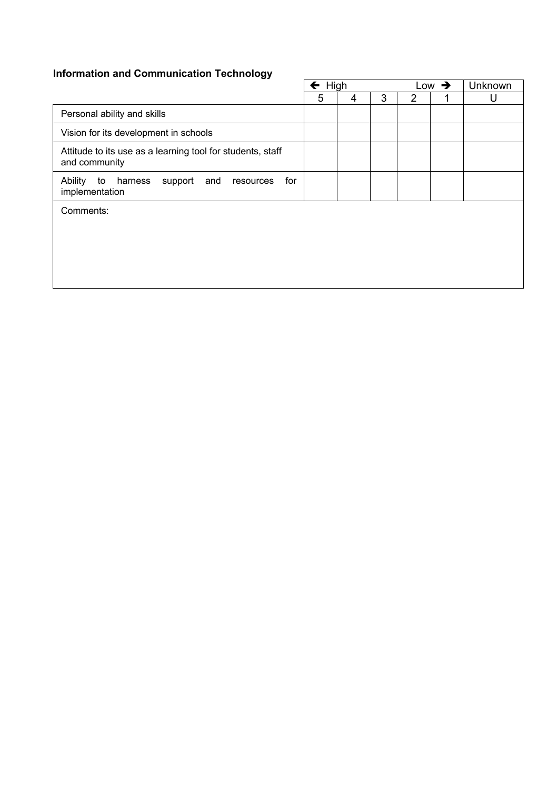# **Information and Communication Technology**

| <b>Information and Communication Technology</b>                                  | $\leftarrow$ High |   |   |                | Low $\rightarrow$ | <b>Unknown</b> |  |
|----------------------------------------------------------------------------------|-------------------|---|---|----------------|-------------------|----------------|--|
|                                                                                  | 5                 | 4 | 3 | $\overline{2}$ |                   | U              |  |
| Personal ability and skills                                                      |                   |   |   |                |                   |                |  |
| Vision for its development in schools                                            |                   |   |   |                |                   |                |  |
| Attitude to its use as a learning tool for students, staff<br>and community      |                   |   |   |                |                   |                |  |
| for<br>Ability<br>to<br>harness<br>support<br>and<br>resources<br>implementation |                   |   |   |                |                   |                |  |
| Comments:                                                                        |                   |   |   |                |                   |                |  |
|                                                                                  |                   |   |   |                |                   |                |  |
|                                                                                  |                   |   |   |                |                   |                |  |
|                                                                                  |                   |   |   |                |                   |                |  |
|                                                                                  |                   |   |   |                |                   |                |  |